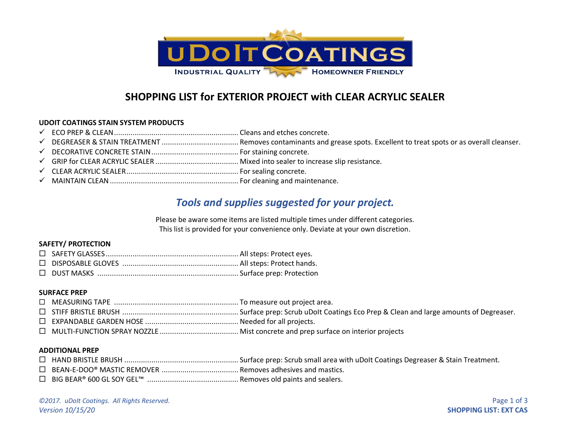

## **SHOPPING LIST for EXTERIOR PROJECT with CLEAR ACRYLIC SEALER**

## **UDOIT COATINGS STAIN SYSTEM PRODUCTS**

- ✓ ECO PREP & CLEAN............................................................ Cleans and etches concrete.
- ✓ DEGREASER & STAIN TREATMENT ..................................... Removes contaminants and grease spots. Excellent to treat spots or as overall cleanser.
- ✓ DECORATIVE CONCRETE STAIN.......................................... For staining concrete.
- ✓ GRIP for CLEAR ACRYLIC SEALER ........................................ Mixed into sealer to increase slip resistance.
- ✓ CLEAR ACRYLIC SEALER...................................................... For sealing concrete.
- ✓ MAINTAIN CLEAN.............................................................. For cleaning and maintenance.

# *Tools and supplies suggested for your project.*

Please be aware some items are listed multiple times under different categories. This list is provided for your convenience only. Deviate at your own discretion.

## **SAFETY/ PROTECTION**

#### **SURFACE PREP**

#### **ADDITIONAL PREP**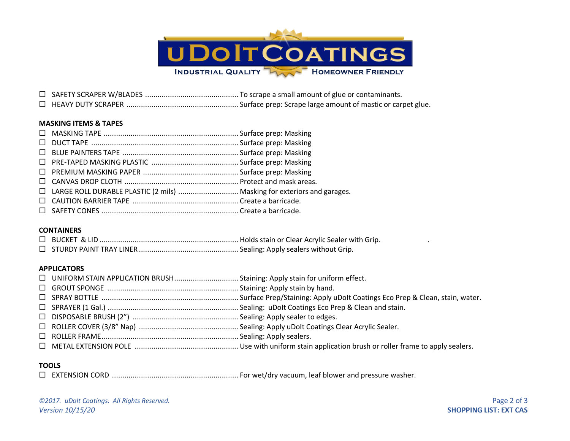

 SAFETY SCRAPER W/BLADES ............................................. To scrape a small amount of glue or contaminants. HEAVY DUTY SCRAPER ...................................................... Surface prep: Scrape large amount of mastic or carpet glue.

## **MASKING ITEMS & TAPES**

| □ LARGE ROLL DURABLE PLASTIC (2 mils)  Masking for exteriors and garages. |  |
|---------------------------------------------------------------------------|--|
|                                                                           |  |
|                                                                           |  |

## **CONTAINERS**

#### **APPLICATORS**

## **TOOLS**

EXTENSION CORD ............................................................. For wet/dry vacuum, leaf blower and pressure washer.